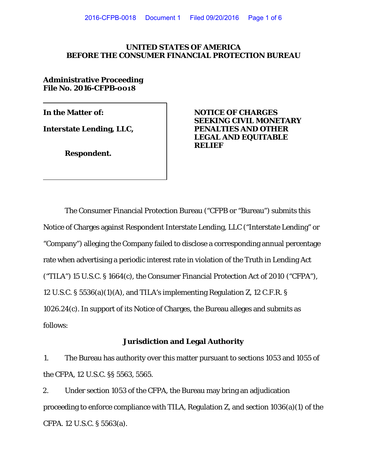### **UNITED STATES OF AMERICA BEFORE THE CONSUMER FINANCIAL PROTECTION BUREAU**

**Administrative Proceeding File No. 2016-CFPB-0018**

**Interstate Lending, LLC,** 

**Respondent.** 

**In the Matter of: NOTICE OF CHARGES SEEKING CIVIL MONETARY LEGAL AND EQUITABLE RELIEF**

The Consumer Financial Protection Bureau ("CFPB or "Bureau") submits this Notice of Charges against Respondent Interstate Lending, LLC ("Interstate Lending" or "Company") alleging the Company failed to disclose a corresponding annual percentage rate when advertising a periodic interest rate in violation of the Truth in Lending Act ("TILA") 15 U.S.C. § 1664(c), the Consumer Financial Protection Act of 2010 ("CFPA"), 12 U.S.C. § 5536(a)(1)(A), and TILA's implementing Regulation Z, 12 C.F.R. § 1026.24(c). In support of its Notice of Charges, the Bureau alleges and submits as follows:

### **Jurisdiction and Legal Authority**

1. The Bureau has authority over this matter pursuant to sections 1053 and 1055 of the CFPA, 12 U.S.C. §§ 5563, 5565.

2. Under section 1053 of the CFPA, the Bureau may bring an adjudication proceeding to enforce compliance with TILA, Regulation Z, and section 1036(a)(1) of the CFPA. 12 U.S.C. § 5563(a).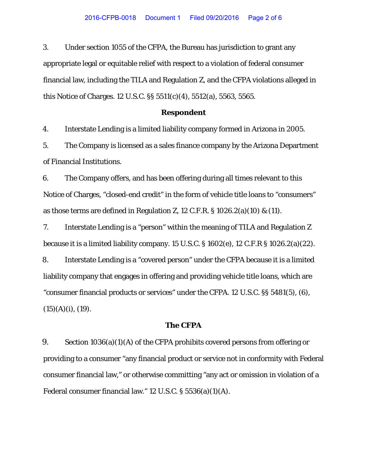3. Under section 1055 of the CFPA, the Bureau has jurisdiction to grant any appropriate legal or equitable relief with respect to a violation of federal consumer financial law, including the TILA and Regulation Z, and the CFPA violations alleged in this Notice of Charges. 12 U.S.C. §§ 5511(c)(4), 5512(a), 5563, 5565.

#### **Respondent**

4. Interstate Lending is a limited liability company formed in Arizona in 2005.

5. The Company is licensed as a sales finance company by the Arizona Department of Financial Institutions.

6. The Company offers, and has been offering during all times relevant to this Notice of Charges, "closed-end credit" in the form of vehicle title loans to "consumers" as those terms are defined in Regulation Z, 12 C.F.R.  $\S$  1026.2(a)(10) & (11).

7. Interstate Lending is a "person" within the meaning of TILA and Regulation Z because it is a limited liability company. 15 U.S.C. § 1602(e), 12 C.F.R § 1026.2(a)(22). 8. Interstate Lending is a "covered person" under the CFPA because it is a limited liability company that engages in offering and providing vehicle title loans, which are "consumer financial products or services" under the CFPA. 12 U.S.C. §§ 5481(5), (6),  $(15)(A)(i)$ ,  $(19)$ .

#### **The CFPA**

9. Section 1036(a)(1)(A) of the CFPA prohibits covered persons from offering or providing to a consumer "any financial product or service not in conformity with Federal consumer financial law," or otherwise committing "any act or omission in violation of a Federal consumer financial law." 12 U.S.C. § 5536(a)(1)(A).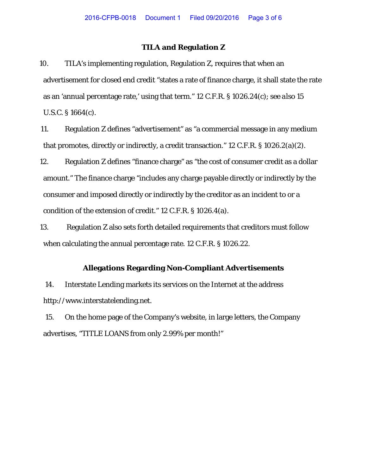### **TILA and Regulation Z**

10. TILA's implementing regulation, Regulation Z, requires that when an advertisement for closed end credit "states a rate of finance charge, it shall state the rate as an 'annual percentage rate,' using that term." 12 C.F.R. § 1026.24(c); *see also* 15 U.S.C. § 1664(c).

11. Regulation Z defines "advertisement" as "a commercial message in any medium that promotes, directly or indirectly, a credit transaction." 12 C.F.R. § 1026.2(a)(2).

12. Regulation Z defines "finance charge" as "the cost of consumer credit as a dollar amount." The finance charge "includes any charge payable directly or indirectly by the consumer and imposed directly or indirectly by the creditor as an incident to or a condition of the extension of credit." 12 C.F.R. § 1026.4(a).

13. Regulation Z also sets forth detailed requirements that creditors must follow when calculating the annual percentage rate. 12 C.F.R. § 1026.22.

### **Allegations Regarding Non-Compliant Advertisements**

14. Interstate Lending markets its services on the Internet at the address http://www.interstatelending.net.

15. On the home page of the Company's website, in large letters, the Company advertises, "TITLE LOANS from only 2.99% per month!"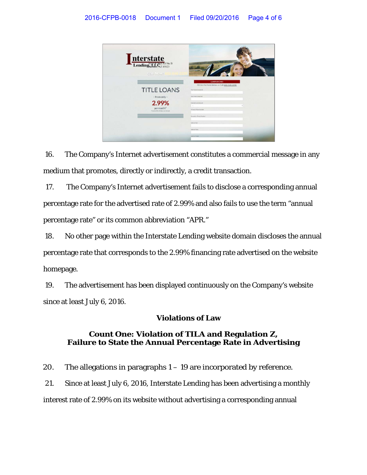

16. The Company's Internet advertisement constitutes a commercial message in any medium that promotes, directly or indirectly, a credit transaction.

17. The Company's Internet advertisement fails to disclose a corresponding annual percentage rate for the advertised rate of 2.99% and also fails to use the term "annual percentage rate" or its common abbreviation "APR."

18. No other page within the Interstate Lending website domain discloses the annual percentage rate that corresponds to the 2.99% financing rate advertised on the website homepage.

19. The advertisement has been displayed continuously on the Company's website since at least July 6, 2016.

# **Violations of Law**

# **Count One: Violation of TILA and Regulation Z, Failure to State the Annual Percentage Rate in Advertising**

20. The allegations in paragraphs 1 – 19 are incorporated by reference.

21. Since at least July 6, 2016, Interstate Lending has been advertising a monthly interest rate of 2.99% on its website without advertising a corresponding annual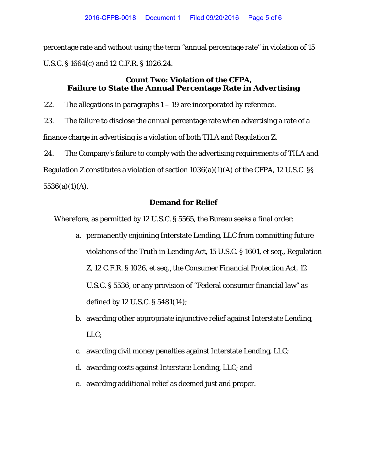percentage rate and without using the term "annual percentage rate" in violation of 15 U.S.C. § 1664(c) and 12 C.F.R. § 1026.24.

## **Count Two: Violation of the CFPA, Failure to State the Annual Percentage Rate in Advertising**

22. The allegations in paragraphs  $1 - 19$  are incorporated by reference.

23. The failure to disclose the annual percentage rate when advertising a rate of a finance charge in advertising is a violation of both TILA and Regulation Z.

24. The Company's failure to comply with the advertising requirements of TILA and Regulation Z constitutes a violation of section 1036(a)(1)(A) of the CFPA, 12 U.S.C. §§  $5536(a)(1)(A)$ .

## **Demand for Relief**

Wherefore, as permitted by 12 U.S.C. § 5565, the Bureau seeks a final order:

- a. permanently enjoining Interstate Lending, LLC from committing future violations of the Truth in Lending Act, 15 U.S.C. § 1601, et seq., Regulation Z, 12 C.F.R. § 1026, et seq., the Consumer Financial Protection Act, 12 U.S.C. § 5536, or any provision of "Federal consumer financial law" as defined by 12 U.S.C. § 5481(14);
- b. awarding other appropriate injunctive relief against Interstate Lending, LLC;
- c. awarding civil money penalties against Interstate Lending, LLC;
- d. awarding costs against Interstate Lending, LLC; and
- e. awarding additional relief as deemed just and proper.